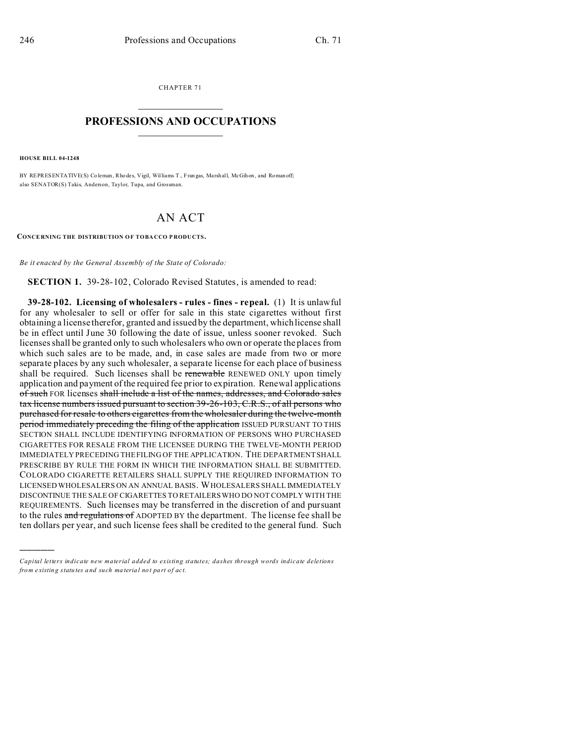CHAPTER 71  $\overline{\phantom{a}}$  , where  $\overline{\phantom{a}}$ 

## **PROFESSIONS AND OCCUPATIONS**  $\frac{1}{2}$  ,  $\frac{1}{2}$  ,  $\frac{1}{2}$  ,  $\frac{1}{2}$  ,  $\frac{1}{2}$  ,  $\frac{1}{2}$

**HOUSE BILL 04-1248**

)))))

BY REPRESENTATIVE(S) Coleman, Rho des, Vigil, Williams T., Fran gas, Marshall, McGihon, and Roman off; also SENATOR(S) Takis, Anderson, Taylor, Tupa, and Grossman.

## AN ACT

**CONCE RNING THE DISTRIBUTION OF TOBA CCO P RODU CTS.**

*Be it enacted by the General Assembly of the State of Colorado:*

**SECTION 1.** 39-28-102, Colorado Revised Statutes, is amended to read:

**39-28-102. Licensing of wholesalers - rules - fines - repeal.** (1) It is unlawful for any wholesaler to sell or offer for sale in this state cigarettes without first obtaining a license therefor, granted and issued by the department, which license shall be in effect until June 30 following the date of issue, unless sooner revoked. Such licenses shall be granted only to such wholesalers who own or operate the places from which such sales are to be made, and, in case sales are made from two or more separate places by any such wholesaler, a separate license for each place of business shall be required. Such licenses shall be renewable RENEWED ONLY upon timely application and payment of the required fee prior to expiration. Renewal applications of such FOR licenses shall include a list of the names, addresses, and Colorado sales tax license numbers issued pursuant to section 39-26-103, C.R.S., of all persons who purchased for resale to others cigarettes from the wholesaler during the twelve-month period immediately preceding the filing of the application ISSUED PURSUANT TO THIS SECTION SHALL INCLUDE IDENTIFYING INFORMATION OF PERSONS WHO PURCHASED CIGARETTES FOR RESALE FROM THE LICENSEE DURING THE TWELVE-MONTH PERIOD IMMEDIATELY PRECEDING THE FILING OF THE APPLICATION. THE DEPARTMENT SHALL PRESCRIBE BY RULE THE FORM IN WHICH THE INFORMATION SHALL BE SUBMITTED. COLORADO CIGARETTE RETAILERS SHALL SUPPLY THE REQUIRED INFORMATION TO LICENSED WHOLESALERS ON AN ANNUAL BASIS. WHOLESALERS SHALL IMMEDIATELY DISCONTINUE THE SALE OF CIGARETTES TO RETAILERS WHO DO NOT COMPLY WITH THE REQUIREMENTS. Such licenses may be transferred in the discretion of and pursuant to the rules and regulations of ADOPTED BY the department. The license fee shall be ten dollars per year, and such license fees shall be credited to the general fund. Such

*Capital letters indicate new material added to existing statutes; dashes through words indicate deletions from e xistin g statu tes a nd such ma teria l no t pa rt of ac t.*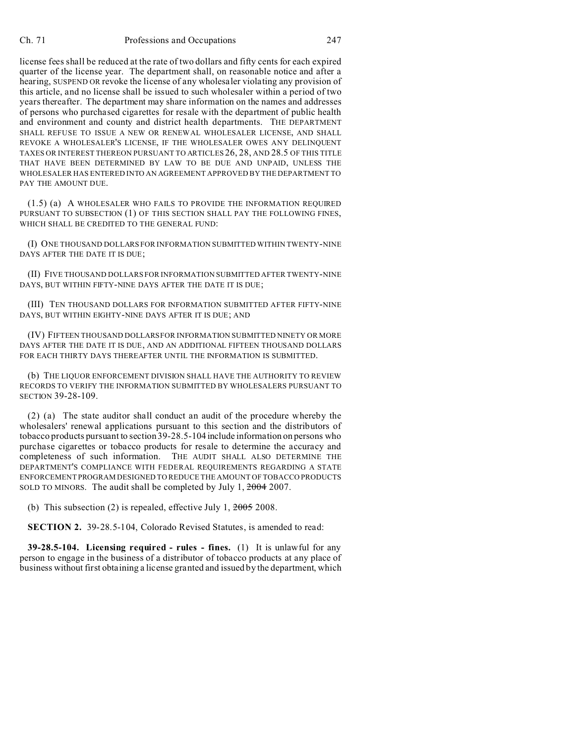license fees shall be reduced at the rate of two dollars and fifty cents for each expired quarter of the license year. The department shall, on reasonable notice and after a hearing, SUSPEND OR revoke the license of any wholesaler violating any provision of this article, and no license shall be issued to such wholesaler within a period of two years thereafter. The department may share information on the names and addresses of persons who purchased cigarettes for resale with the department of public health and environment and county and district health departments. THE DEPARTMENT SHALL REFUSE TO ISSUE A NEW OR RENEWAL WHOLESALER LICENSE, AND SHALL REVOKE A WHOLESALER'S LICENSE, IF THE WHOLESALER OWES ANY DELINQUENT TAXES OR INTEREST THEREON PURSUANT TO ARTICLES 26, 28, AND 28.5 OF THIS TITLE THAT HAVE BEEN DETERMINED BY LAW TO BE DUE AND UNPAID, UNLESS THE WHOLESALER HAS ENTERED INTO AN AGREEMENT APPROVED BY THE DEPARTMENT TO PAY THE AMOUNT DUE.

(1.5) (a) A WHOLESALER WHO FAILS TO PROVIDE THE INFORMATION REQUIRED PURSUANT TO SUBSECTION (1) OF THIS SECTION SHALL PAY THE FOLLOWING FINES, WHICH SHALL BE CREDITED TO THE GENERAL FUND:

(I) ONE THOUSAND DOLLARS FOR INFORMATION SUBMITTED WITHIN TWENTY-NINE DAYS AFTER THE DATE IT IS DUE;

(II) FIVE THOUSAND DOLLARS FOR INFORMATION SUBMITTED AFTER TWENTY-NINE DAYS, BUT WITHIN FIFTY-NINE DAYS AFTER THE DATE IT IS DUE;

(III) TEN THOUSAND DOLLARS FOR INFORMATION SUBMITTED AFTER FIFTY-NINE DAYS, BUT WITHIN EIGHTY-NINE DAYS AFTER IT IS DUE; AND

(IV) FIFTEEN THOUSAND DOLLARS FOR INFORMATION SUBMITTED NINETY OR MORE DAYS AFTER THE DATE IT IS DUE, AND AN ADDITIONAL FIFTEEN THOUSAND DOLLARS FOR EACH THIRTY DAYS THEREAFTER UNTIL THE INFORMATION IS SUBMITTED.

(b) THE LIQUOR ENFORCEMENT DIVISION SHALL HAVE THE AUTHORITY TO REVIEW RECORDS TO VERIFY THE INFORMATION SUBMITTED BY WHOLESALERS PURSUANT TO SECTION 39-28-109.

(2) (a) The state auditor shall conduct an audit of the procedure whereby the wholesalers' renewal applications pursuant to this section and the distributors of tobacco products pursuant to section 39-28.5-104 include information on persons who purchase cigarettes or tobacco products for resale to determine the accuracy and completeness of such information. THE AUDIT SHALL ALSO DETERMINE THE DEPARTMENT'S COMPLIANCE WITH FEDERAL REQUIREMENTS REGARDING A STATE ENFORCEMENTPROGRAM DESIGNED TO REDUCE THE AMOUNT OF TOBACCO PRODUCTS SOLD TO MINORS. The audit shall be completed by July 1, 2004 2007.

(b) This subsection (2) is repealed, effective July 1,  $2005$  2008.

**SECTION 2.** 39-28.5-104, Colorado Revised Statutes, is amended to read:

**39-28.5-104. Licensing required - rules - fines.** (1) It is unlawful for any person to engage in the business of a distributor of tobacco products at any place of business without first obtaining a license granted and issued by the department, which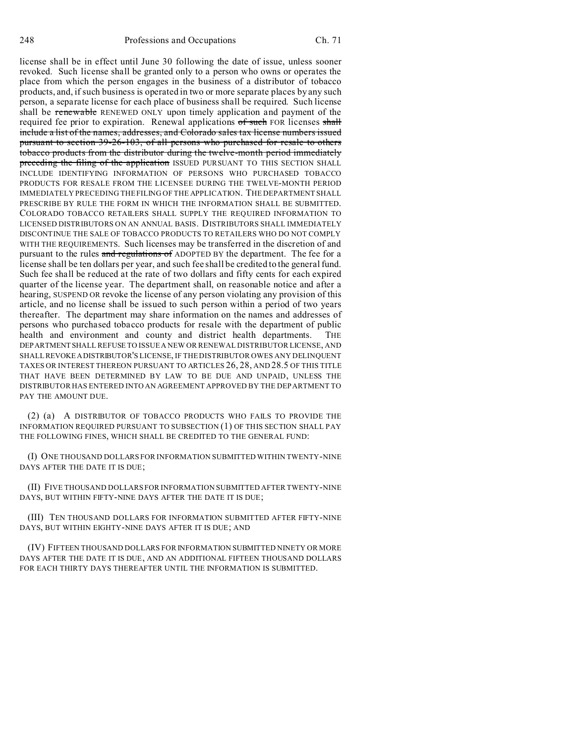license shall be in effect until June 30 following the date of issue, unless sooner revoked. Such license shall be granted only to a person who owns or operates the place from which the person engages in the business of a distributor of tobacco products, and, if such business is operated in two or more separate places by any such person, a separate license for each place of business shall be required. Such license shall be renewable RENEWED ONLY upon timely application and payment of the required fee prior to expiration. Renewal applications of such FOR licenses shall include a list of the names, addresses, and Colorado sales tax license numbers issued pursuant to section 39-26-103, of all persons who purchased for resale to others tobacco products from the distributor during the twelve-month period immediately preceding the filing of the application ISSUED PURSUANT TO THIS SECTION SHALL INCLUDE IDENTIFYING INFORMATION OF PERSONS WHO PURCHASED TOBACCO PRODUCTS FOR RESALE FROM THE LICENSEE DURING THE TWELVE-MONTH PERIOD IMMEDIATELY PRECEDING THE FILING OF THE APPLICATION. THE DEPARTMENT SHALL PRESCRIBE BY RULE THE FORM IN WHICH THE INFORMATION SHALL BE SUBMITTED. COLORADO TOBACCO RETAILERS SHALL SUPPLY THE REQUIRED INFORMATION TO LICENSED DISTRIBUTORS ON AN ANNUAL BASIS. DISTRIBUTORS SHALL IMMEDIATELY DISCONTINUE THE SALE OF TOBACCO PRODUCTS TO RETAILERS WHO DO NOT COMPLY WITH THE REQUIREMENTS. Such licenses may be transferred in the discretion of and pursuant to the rules and regulations of ADOPTED BY the department. The fee for a license shall be ten dollars per year, and such fee shall be credited to the general fund. Such fee shall be reduced at the rate of two dollars and fifty cents for each expired quarter of the license year. The department shall, on reasonable notice and after a hearing, SUSPEND OR revoke the license of any person violating any provision of this article, and no license shall be issued to such person within a period of two years thereafter. The department may share information on the names and addresses of persons who purchased tobacco products for resale with the department of public health and environment and county and district health departments. THE DEPARTMENTSHALL REFUSE TO ISSUE A NEW OR RENEWAL DISTRIBUTOR LICENSE, AND SHALLREVOKEADISTRIBUTOR'S LICENSE, IF THE DISTRIBUTOR OWES ANY DELINQUENT TAXES OR INTEREST THEREON PURSUANT TO ARTICLES 26, 28, AND 28.5 OF THIS TITLE THAT HAVE BEEN DETERMINED BY LAW TO BE DUE AND UNPAID, UNLESS THE DISTRIBUTOR HAS ENTERED INTO AN AGREEMENT APPROVED BY THE DEPARTMENT TO PAY THE AMOUNT DUE.

(2) (a) A DISTRIBUTOR OF TOBACCO PRODUCTS WHO FAILS TO PROVIDE THE INFORMATION REQUIRED PURSUANT TO SUBSECTION (1) OF THIS SECTION SHALL PAY THE FOLLOWING FINES, WHICH SHALL BE CREDITED TO THE GENERAL FUND:

(I) ONE THOUSAND DOLLARS FOR INFORMATION SUBMITTED WITHIN TWENTY-NINE DAYS AFTER THE DATE IT IS DUE;

(II) FIVE THOUSAND DOLLARS FOR INFORMATION SUBMITTED AFTER TWENTY-NINE DAYS, BUT WITHIN FIFTY-NINE DAYS AFTER THE DATE IT IS DUE;

(III) TEN THOUSAND DOLLARS FOR INFORMATION SUBMITTED AFTER FIFTY-NINE DAYS, BUT WITHIN EIGHTY-NINE DAYS AFTER IT IS DUE; AND

(IV) FIFTEEN THOUSAND DOLLARS FOR INFORMATION SUBMITTED NINETY OR MORE DAYS AFTER THE DATE IT IS DUE, AND AN ADDITIONAL FIFTEEN THOUSAND DOLLARS FOR EACH THIRTY DAYS THEREAFTER UNTIL THE INFORMATION IS SUBMITTED.